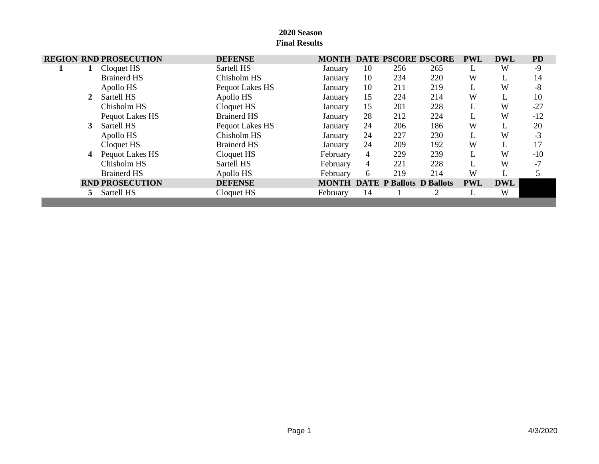|   | <b>REGION RND PROSECUTION</b> | <b>DEFENSE</b>     | <b>MONTH</b> |    |     | <b>DATE PSCORE DSCORE</b>       | <b>PWL</b> | <b>DWL</b> | <b>PD</b> |
|---|-------------------------------|--------------------|--------------|----|-----|---------------------------------|------------|------------|-----------|
|   | Cloquet HS                    | Sartell HS         | January      | 10 | 256 | 265                             | L          | W          | $-9$      |
|   | <b>Brainerd HS</b>            | Chisholm HS        | January      | 10 | 234 | 220                             | W          | ┺          | 14        |
|   | Apollo HS                     | Pequot Lakes HS    | January      | 10 | 211 | 219                             |            | W          | $-8$      |
|   | Sartell HS                    | Apollo HS          | January      | 15 | 224 | 214                             | W          | L          | 10        |
|   | Chisholm HS                   | Cloquet HS         | January      | 15 | 201 | 228                             | L          | W          | $-27$     |
|   | Pequot Lakes HS               | <b>Brainerd HS</b> | January      | 28 | 212 | 224                             |            | W          | $-12$     |
| 3 | Sartell HS                    | Pequot Lakes HS    | January      | 24 | 206 | 186                             | W          | L          | 20        |
|   | Apollo HS                     | Chisholm HS        | January      | 24 | 227 | 230                             |            | W          | $-3$      |
|   | Cloquet HS                    | Brainerd HS        | January      | 24 | 209 | 192                             | W          |            | 17        |
| 4 | Pequot Lakes HS               | Cloquet HS         | February     | 4  | 229 | 239                             |            | W          | $-10$     |
|   | Chisholm HS                   | Sartell HS         | February     | 4  | 221 | 228                             |            | W          | $-7$      |
|   | <b>Brainerd HS</b>            | Apollo HS          | February     | 6  | 219 | 214                             | W          |            |           |
|   | <b>RND PROSECUTION</b>        | <b>DEFENSE</b>     | <b>MONTH</b> |    |     | <b>DATE P Ballots D Ballots</b> | <b>PWL</b> | <b>DWL</b> |           |
|   | Sartell HS                    | Cloquet HS         | February     | 14 |     | 2                               | L          | W          |           |
|   |                               |                    |              |    |     |                                 |            |            |           |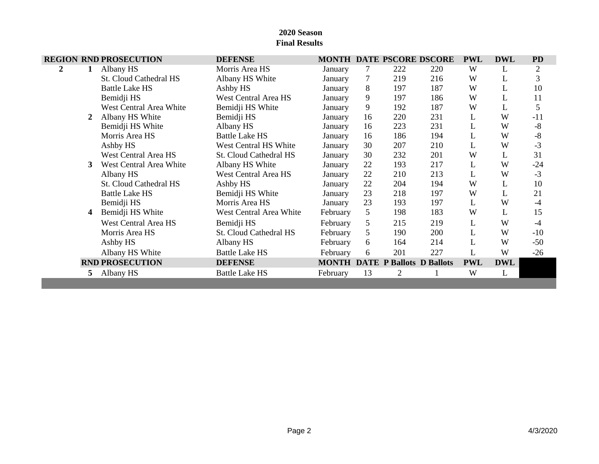|   |   | <b>REGION RND PROSECUTION</b> | <b>DEFENSE</b>                |              |                |     | MONTH DATE PSCORE DSCORE        | <b>PWL</b> | <b>DWL</b> | <b>PD</b>      |
|---|---|-------------------------------|-------------------------------|--------------|----------------|-----|---------------------------------|------------|------------|----------------|
| 2 | 1 | Albany HS                     | Morris Area HS                | January      | 7              | 222 | 220                             | W          | L          | $\overline{2}$ |
|   |   | <b>St. Cloud Cathedral HS</b> | Albany HS White               | January      | $\overline{7}$ | 219 | 216                             | W          | L          | 3              |
|   |   | Battle Lake HS                | Ashby HS                      | January      | 8              | 197 | 187                             | W          | L          | 10             |
|   |   | Bemidji HS                    | <b>West Central Area HS</b>   | January      | 9              | 197 | 186                             | W          | L          | 11             |
|   |   | West Central Area White       | Bemidji HS White              | January      | 9              | 192 | 187                             | W          | L          | 5              |
|   |   | Albany HS White               | Bemidji HS                    | January      | 16             | 220 | 231                             | L          | W          | $-11$          |
|   |   | Bemidji HS White              | Albany HS                     | January      | 16             | 223 | 231                             | L          | W          | $-8$           |
|   |   | Morris Area HS                | <b>Battle Lake HS</b>         | January      | 16             | 186 | 194                             | L          | W          | $-8$           |
|   |   | Ashby HS                      | West Central HS White         | January      | 30             | 207 | 210                             | L          | W          | $-3$           |
|   |   | <b>West Central Area HS</b>   | <b>St. Cloud Cathedral HS</b> | January      | 30             | 232 | 201                             | W          | L          | 31             |
|   | 3 | West Central Area White       | Albany HS White               | January      | 22             | 193 | 217                             | L          | W          | $-24$          |
|   |   | Albany HS                     | <b>West Central Area HS</b>   | January      | 22             | 210 | 213                             | L          | W          | $-3$           |
|   |   | <b>St. Cloud Cathedral HS</b> | Ashby HS                      | January      | 22             | 204 | 194                             | W          | L          | 10             |
|   |   | <b>Battle Lake HS</b>         | Bemidji HS White              | January      | 23             | 218 | 197                             | W          | L          | 21             |
|   |   | Bemidji HS                    | Morris Area HS                | January      | 23             | 193 | 197                             | L          | W          | $-4$           |
|   | 4 | Bemidji HS White              | West Central Area White       | February     | 5              | 198 | 183                             | W          | L          | 15             |
|   |   | West Central Area HS          | Bemidji HS                    | February     | 5              | 215 | 219                             | L          | W          | $-4$           |
|   |   | Morris Area HS                | St. Cloud Cathedral HS        | February     | 5              | 190 | 200                             | L          | W          | $-10$          |
|   |   | Ashby HS                      | Albany HS                     | February     | 6              | 164 | 214                             | L          | W          | $-50$          |
|   |   | Albany HS White               | <b>Battle Lake HS</b>         | February     | 6              | 201 | 227                             | L          | W          | $-26$          |
|   |   | <b>RND PROSECUTION</b>        | <b>DEFENSE</b>                | <b>MONTH</b> |                |     | <b>DATE P Ballots D Ballots</b> | <b>PWL</b> | <b>DWL</b> |                |
|   | 5 | Albany HS                     | <b>Battle Lake HS</b>         | February     | 13             | 2   | 1                               | W          | L          |                |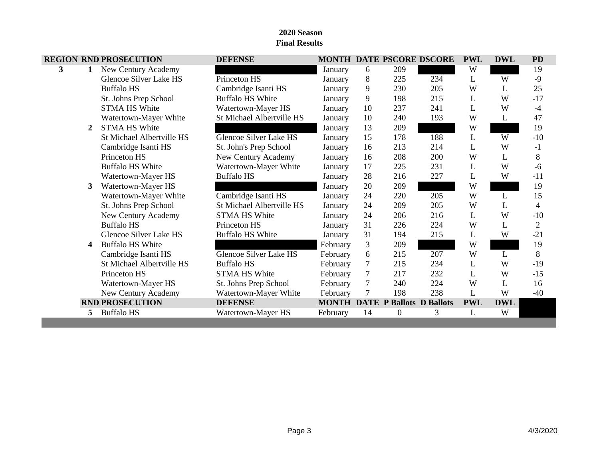|   | <b>REGION RND PROSECUTION</b> | <b>DEFENSE</b>                |          |                |                  | <b>MONTH DATE PSCORE DSCORE</b>       | <b>PWL</b> | <b>DWL</b> | <b>PD</b>      |
|---|-------------------------------|-------------------------------|----------|----------------|------------------|---------------------------------------|------------|------------|----------------|
| 3 | New Century Academy           |                               | January  | 6              | 209              |                                       | W          |            | 19             |
|   | Glencoe Silver Lake HS        | Princeton HS                  | January  | 8              | 225              | 234                                   | L          | W          | $-9$           |
|   | <b>Buffalo HS</b>             | Cambridge Isanti HS           | January  | 9              | 230              | 205                                   | W          | L          | 25             |
|   | St. Johns Prep School         | <b>Buffalo HS White</b>       | January  | 9              | 198              | 215                                   | L          | W          | $-17$          |
|   | <b>STMA HS White</b>          | Watertown-Mayer HS            | January  | 10             | 237              | 241                                   | L          | W          | $-4$           |
|   | Watertown-Mayer White         | St Michael Albertville HS     | January  | 10             | 240              | 193                                   | W          | L          | 47             |
| 2 | <b>STMA HS White</b>          |                               | January  | 13             | 209              |                                       | W          |            | 19             |
|   | St Michael Albertville HS     | <b>Glencoe Silver Lake HS</b> | January  | 15             | 178              | 188                                   | L          | W          | $-10$          |
|   | Cambridge Isanti HS           | St. John's Prep School        | January  | 16             | 213              | 214                                   | L          | W          | $-1$           |
|   | Princeton HS                  | New Century Academy           | January  | 16             | 208              | 200                                   | W          | L          | 8              |
|   | <b>Buffalo HS White</b>       | Watertown-Mayer White         | January  | 17             | 225              | 231                                   | L          | W          | $-6$           |
|   | Watertown-Mayer HS            | <b>Buffalo HS</b>             | January  | 28             | 216              | 227                                   | L          | W          | $-11$          |
| 3 | Watertown-Mayer HS            |                               | January  | 20             | 209              |                                       | W          |            | 19             |
|   | Watertown-Mayer White         | Cambridge Isanti HS           | January  | 24             | 220              | 205                                   | W          | L          | 15             |
|   | St. Johns Prep School         | St Michael Albertville HS     | January  | 24             | 209              | 205                                   | W          | L          | $\overline{4}$ |
|   | New Century Academy           | <b>STMA HS White</b>          | January  | 24             | 206              | 216                                   | L          | W          | $-10$          |
|   | <b>Buffalo HS</b>             | Princeton HS                  | January  | 31             | 226              | 224                                   | W          | L          | $\overline{2}$ |
|   | Glencoe Silver Lake HS        | <b>Buffalo HS White</b>       | January  | 31             | 194              | 215                                   | L          | W          | $-21$          |
| 4 | <b>Buffalo HS White</b>       |                               | February | 3              | 209              |                                       | W          |            | 19             |
|   | Cambridge Isanti HS           | <b>Glencoe Silver Lake HS</b> | February | 6              | 215              | 207                                   | W          | L          | 8              |
|   | St Michael Albertville HS     | <b>Buffalo HS</b>             | February | $\tau$         | 215              | 234                                   | L          | W          | $-19$          |
|   | Princeton HS                  | <b>STMA HS White</b>          | February | $\overline{7}$ | 217              | 232                                   | L          | W          | $-15$          |
|   | Watertown-Mayer HS            | St. Johns Prep School         | February | $\overline{7}$ | 240              | 224                                   | W          | L          | 16             |
|   | New Century Academy           | Watertown-Mayer White         | February | $\tau$         | 198              | 238                                   | L          | W          | $-40$          |
|   | <b>RND PROSECUTION</b>        | <b>DEFENSE</b>                |          |                |                  | <b>MONTH DATE P Ballots D Ballots</b> | <b>PWL</b> | <b>DWL</b> |                |
| 5 | <b>Buffalo HS</b>             | Watertown-Mayer HS            | February | 14             | $\boldsymbol{0}$ | 3                                     | L          | W          |                |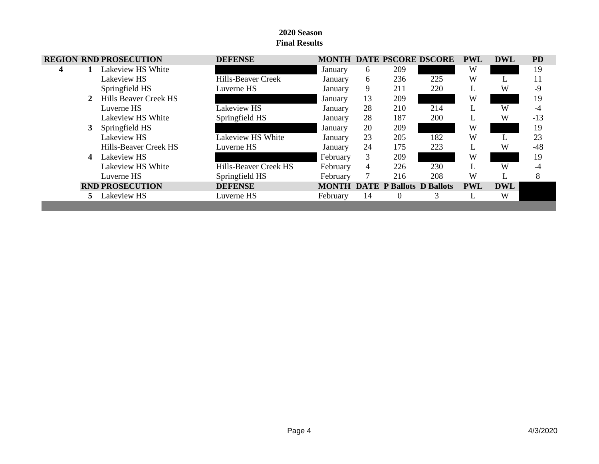|   | <b>REGION RND PROSECUTION</b> | <b>DEFENSE</b>            |              |    |                                 | <b>MONTH DATE PSCORE DSCORE</b> | <b>PWL</b> | <b>DWL</b> | <b>PD</b> |
|---|-------------------------------|---------------------------|--------------|----|---------------------------------|---------------------------------|------------|------------|-----------|
| 4 | Lakeview HS White             |                           | January      | 6  | 209                             |                                 | W          |            | 19        |
|   | Lakeview HS                   | <b>Hills-Beaver Creek</b> | January      | 6  | 236                             | 225                             | W          | L          | 11        |
|   | Springfield HS                | Luverne HS                | January      | 9  | 211                             | 220                             | L          | W          | $-9$      |
|   | Hills Beaver Creek HS         |                           | January      | 13 | 209                             |                                 | W          |            | 19        |
|   | Luverne HS                    | Lakeview HS               | January      | 28 | 210                             | 214                             | L          | W          | $-4$      |
|   | Lakeview HS White             | Springfield HS            | January      | 28 | 187                             | 200                             | L          | W          | $-13$     |
|   | Springfield HS                |                           | January      | 20 | 209                             |                                 | W          |            | 19        |
|   | Lakeview HS                   | Lakeview HS White         | January      | 23 | 205                             | 182                             | W          | L          | 23        |
|   | Hills-Beaver Creek HS         | Luverne HS                | January      | 24 | 175                             | 223                             | L          | W          | $-48$     |
| 4 | Lakeview HS                   |                           | February     | 3  | 209                             |                                 | W          |            | 19        |
|   | Lakeview HS White             | Hills-Beaver Creek HS     | February     | 4  | 226                             | 230                             | L          | W          | -4        |
|   | Luverne HS                    | Springfield HS            | February     |    | 216                             | 208                             | W          |            | 8         |
|   | <b>RND PROSECUTION</b>        | <b>DEFENSE</b>            | <b>MONTH</b> |    | <b>DATE P Ballots D Ballots</b> |                                 | <b>PWL</b> | <b>DWL</b> |           |
|   | Lakeview HS                   | Luverne HS                | February     | 14 | $\theta$                        | 3                               | L          | W          |           |
|   |                               |                           |              |    |                                 |                                 |            |            |           |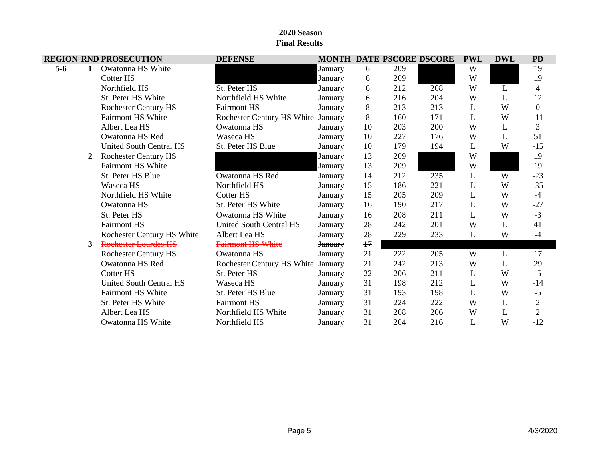|         |   | <b>REGION RND PROSECUTION</b>  | <b>DEFENSE</b>                     |                |    |     | MONTH DATE PSCORE DSCORE | <b>PWL</b> | <b>DWL</b> | <b>PD</b>                |
|---------|---|--------------------------------|------------------------------------|----------------|----|-----|--------------------------|------------|------------|--------------------------|
| $5 - 6$ | 1 | Owatonna HS White              |                                    | January        | 6  | 209 |                          | W          |            | 19                       |
|         |   | Cotter HS                      |                                    | January        | 6  | 209 |                          | W          |            | 19                       |
|         |   | Northfield HS                  | St. Peter HS                       | January        | 6  | 212 | 208                      | W          | L          | $\overline{\mathcal{A}}$ |
|         |   | St. Peter HS White             | Northfield HS White                | January        | 6  | 216 | 204                      | W          | L          | 12                       |
|         |   | <b>Rochester Century HS</b>    | <b>Fairmont HS</b>                 | January        | 8  | 213 | 213                      | L          | W          | $\overline{0}$           |
|         |   | <b>Fairmont HS White</b>       | Rochester Century HS White January |                | 8  | 160 | 171                      | L          | W          | $-11$                    |
|         |   | Albert Lea HS                  | Owatonna HS                        | January        | 10 | 203 | 200                      | W          | L          | 3                        |
|         |   | Owatonna HS Red                | Waseca HS                          | January        | 10 | 227 | 176                      | W          | L          | 51                       |
|         |   | <b>United South Central HS</b> | St. Peter HS Blue                  | January        | 10 | 179 | 194                      | L          | W          | $-15$                    |
|         |   | <b>Rochester Century HS</b>    |                                    | January        | 13 | 209 |                          | W          |            | 19                       |
|         |   | <b>Fairmont HS White</b>       |                                    | January        | 13 | 209 |                          | W          |            | 19                       |
|         |   | St. Peter HS Blue              | Owatonna HS Red                    | January        | 14 | 212 | 235                      | L          | W          | $-23$                    |
|         |   | Waseca HS                      | Northfield HS                      | January        | 15 | 186 | 221                      | L          | W          | $-35$                    |
|         |   | Northfield HS White            | Cotter HS                          | January        | 15 | 205 | 209                      | L          | W          | $-4$                     |
|         |   | Owatonna HS                    | St. Peter HS White                 | January        | 16 | 190 | 217                      | L          | W          | $-27$                    |
|         |   | St. Peter HS                   | Owatonna HS White                  | January        | 16 | 208 | 211                      | L          | W          | $-3$                     |
|         |   | <b>Fairmont HS</b>             | <b>United South Central HS</b>     | January        | 28 | 242 | 201                      | W          | L          | 41                       |
|         |   | Rochester Century HS White     | Albert Lea HS                      | January        | 28 | 229 | 233                      | L          | W          | $-4$                     |
|         | 3 | <b>Rochester Lourdes HS</b>    | <b>Fairmont HS White</b>           | <b>January</b> | 17 |     |                          |            |            |                          |
|         |   | <b>Rochester Century HS</b>    | Owatonna HS                        | January        | 21 | 222 | 205                      | W          | L          | 17                       |
|         |   | Owatonna HS Red                | Rochester Century HS White January |                | 21 | 242 | 213                      | W          | L          | 29                       |
|         |   | <b>Cotter HS</b>               | St. Peter HS                       | January        | 22 | 206 | 211                      | L          | W          | $-5$                     |
|         |   | <b>United South Central HS</b> | Waseca HS                          | January        | 31 | 198 | 212                      | L          | W          | $-14$                    |
|         |   | Fairmont HS White              | St. Peter HS Blue                  | January        | 31 | 193 | 198                      | L          | W          | $-5$                     |
|         |   | St. Peter HS White             | <b>Fairmont HS</b>                 | January        | 31 | 224 | 222                      | W          | L          | $\mathbf{2}$             |
|         |   | Albert Lea HS                  | Northfield HS White                | January        | 31 | 208 | 206                      | W          | L          | $\overline{2}$           |
|         |   | Owatonna HS White              | Northfield HS                      | January        | 31 | 204 | 216                      | L          | W          | $-12$                    |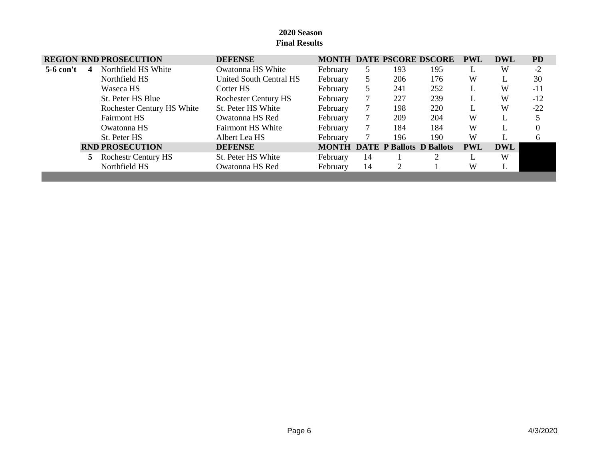|                | <b>REGION RND PROSECUTION</b> | <b>DEFENSE</b>              |              |    |     | <b>MONTH DATE PSCORE DSCORE</b> | <b>PWL</b> | <b>DWL</b> | <b>PD</b> |
|----------------|-------------------------------|-----------------------------|--------------|----|-----|---------------------------------|------------|------------|-----------|
| 5-6 con't<br>4 | Northfield HS White           | Owatonna HS White           | February     |    | 193 | 195                             |            | W          | $-2$      |
|                | Northfield HS                 | United South Central HS     | February     |    | 206 | 176                             | W          |            | 30        |
|                | Waseca HS                     | Cotter HS                   | February     |    | 241 | 252                             |            | W          | -11       |
|                | St. Peter HS Blue             | <b>Rochester Century HS</b> | February     |    | 227 | 239                             |            | W          | $-12$     |
|                | Rochester Century HS White    | St. Peter HS White          | February     |    | 198 | 220                             |            | W          | $-22$     |
|                | <b>Fairmont HS</b>            | Owatonna HS Red             | February     |    | 209 | 204                             | W          | L.         |           |
|                | Owatonna HS                   | <b>Fairmont HS White</b>    | February     |    | 184 | 184                             | W          |            |           |
|                | St. Peter HS                  | Albert Lea HS               | February     |    | 196 | 190                             | W          |            | 6         |
|                | <b>RND PROSECUTION</b>        | <b>DEFENSE</b>              | <b>MONTH</b> |    |     | <b>DATE P Ballots D Ballots</b> | <b>PWL</b> | <b>DWL</b> |           |
|                | <b>Rochestr Century HS</b>    | St. Peter HS White          | February     | 14 |     |                                 |            | W          |           |
|                | Northfield HS                 | Owatonna HS Red             | February     | 14 |     |                                 | W          | ┺          |           |
|                |                               |                             |              |    |     |                                 |            |            |           |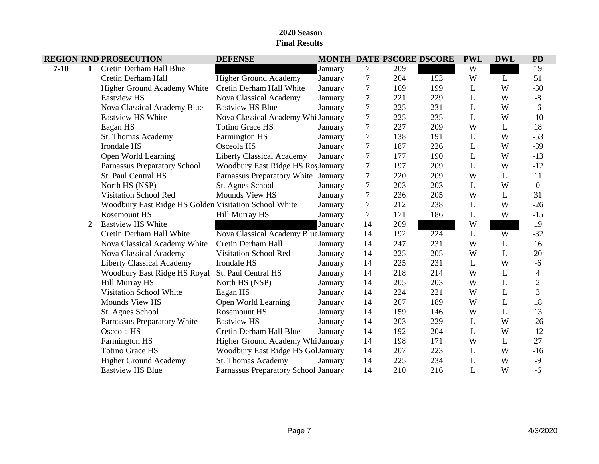|          |              | <b>REGION RND PROSECUTION</b>                         | <b>DEFENSE</b>                       |         |                |     | MONTH DATE PSCORE DSCORE | <b>PWL</b> | <b>DWL</b> | <b>PD</b>      |
|----------|--------------|-------------------------------------------------------|--------------------------------------|---------|----------------|-----|--------------------------|------------|------------|----------------|
| $7 - 10$ | $\mathbf{1}$ | Cretin Derham Hall Blue                               |                                      | January | 7              | 209 |                          | W          |            | 19             |
|          |              | Cretin Derham Hall                                    | <b>Higher Ground Academy</b>         | January | 7              | 204 | 153                      | W          | L          | 51             |
|          |              | Higher Ground Academy White                           | Cretin Derham Hall White             | January | 7              | 169 | 199                      | L          | W          | $-30$          |
|          |              | <b>Eastview HS</b>                                    | Nova Classical Academy               | January | 7              | 221 | 229                      | L          | W          | $\text{-}8$    |
|          |              | Nova Classical Academy Blue                           | <b>Eastview HS Blue</b>              | January | 7              | 225 | 231                      | L          | W          | $-6$           |
|          |              | <b>Eastview HS White</b>                              | Nova Classical Academy Whi January   |         | 7              | 225 | 235                      | L          | W          | $-10$          |
|          |              | Eagan HS                                              | <b>Totino Grace HS</b>               | January | 7              | 227 | 209                      | W          | L          | 18             |
|          |              | St. Thomas Academy                                    | <b>Farmington HS</b>                 | January | 7              | 138 | 191                      | L          | W          | $-53$          |
|          |              | Irondale HS                                           | Osceola HS                           | January | 7              | 187 | 226                      | L          | W          | $-39$          |
|          |              | Open World Learning                                   | <b>Liberty Classical Academy</b>     | January | 7              | 177 | 190                      | L          | W          | $-13$          |
|          |              | Parnassus Preparatory School                          | Woodbury East Ridge HS Roy January   |         | 7              | 197 | 209                      | L          | W          | $-12$          |
|          |              | St. Paul Central HS                                   | Parnassus Preparatory White January  |         | 7              | 220 | 209                      | W          | L          | 11             |
|          |              | North HS (NSP)                                        | St. Agnes School                     | January | 7              | 203 | 203                      | L          | W          | $\mathbf{0}$   |
|          |              | Visitation School Red                                 | Mounds View HS                       | January | 7              | 236 | 205                      | W          | L          | 31             |
|          |              | Woodbury East Ridge HS Golden Visitation School White |                                      | January | 7              | 212 | 238                      | L          | W          | $-26$          |
|          |              | <b>Rosemount HS</b>                                   | <b>Hill Murray HS</b>                | January | $\overline{7}$ | 171 | 186                      | L          | W          | $-15$          |
|          | $\mathbf{2}$ | <b>Eastview HS White</b>                              |                                      | January | 14             | 209 |                          | W          |            | 19             |
|          |              | Cretin Derham Hall White                              | Nova Classical Academy Blue January  |         | 14             | 192 | 224                      | L          | W          | $-32$          |
|          |              | Nova Classical Academy White                          | Cretin Derham Hall                   | January | 14             | 247 | 231                      | W          | L          | 16             |
|          |              | Nova Classical Academy                                | Visitation School Red                | January | 14             | 225 | 205                      | W          | L          | 20             |
|          |              | <b>Liberty Classical Academy</b>                      | Irondale HS                          | January | 14             | 225 | 231                      | L          | W          | $-6$           |
|          |              | Woodbury East Ridge HS Royal                          | St. Paul Central HS                  | January | 14             | 218 | 214                      | W          | L          | $\overline{4}$ |
|          |              | <b>Hill Murray HS</b>                                 | North HS (NSP)                       | January | 14             | 205 | 203                      | W          | L          | $\overline{2}$ |
|          |              | <b>Visitation School White</b>                        | Eagan HS                             | January | 14             | 224 | 221                      | W          | L          | 3              |
|          |              | Mounds View HS                                        | Open World Learning                  | January | 14             | 207 | 189                      | W          | L          | 18             |
|          |              | St. Agnes School                                      | <b>Rosemount HS</b>                  | January | 14             | 159 | 146                      | W          | L          | 13             |
|          |              | Parnassus Preparatory White                           | <b>Eastview HS</b>                   | January | 14             | 203 | 229                      | L          | W          | $-26$          |
|          |              | Osceola HS                                            | Cretin Derham Hall Blue              | January | 14             | 192 | 204                      | L          | W          | $-12$          |
|          |              | <b>Farmington HS</b>                                  | Higher Ground Academy Whi January    |         | 14             | 198 | 171                      | W          | L          | 27             |
|          |              | <b>Totino Grace HS</b>                                | Woodbury East Ridge HS Gol January   |         | 14             | 207 | 223                      | L          | W          | $-16$          |
|          |              | <b>Higher Ground Academy</b>                          | St. Thomas Academy                   | January | 14             | 225 | 234                      | L          | W          | $-9$           |
|          |              | <b>Eastview HS Blue</b>                               | Parnassus Preparatory School January |         | 14             | 210 | 216                      | L          | W          | $-6$           |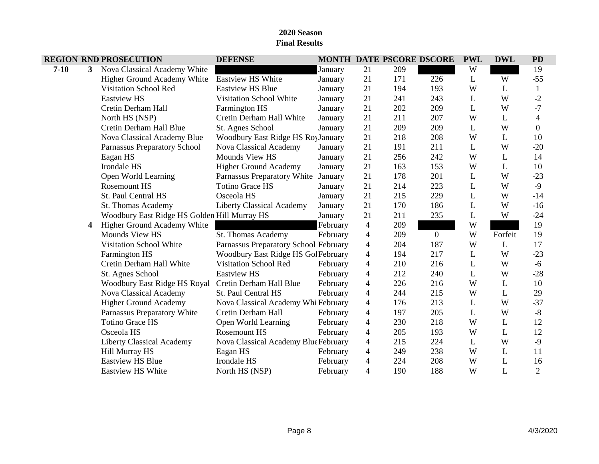|          |   | <b>REGION RND PROSECUTION</b>                | <b>DEFENSE</b>                        |          |                |     | <b>MONTH DATE PSCORE DSCORE</b> | <b>PWL</b> | <b>DWL</b> | <b>PD</b>                |
|----------|---|----------------------------------------------|---------------------------------------|----------|----------------|-----|---------------------------------|------------|------------|--------------------------|
| $7 - 10$ | 3 | Nova Classical Academy White                 |                                       | January  | 21             | 209 |                                 | W          |            | 19                       |
|          |   | Higher Ground Academy White                  | Eastview HS White                     | January  | 21             | 171 | 226                             | L          | W          | $-55$                    |
|          |   | <b>Visitation School Red</b>                 | <b>Eastview HS Blue</b>               | January  | 21             | 194 | 193                             | W          | L          | 1                        |
|          |   | <b>Eastview HS</b>                           | <b>Visitation School White</b>        | January  | 21             | 241 | 243                             | L          | W          | $-2$                     |
|          |   | Cretin Derham Hall                           | <b>Farmington HS</b>                  | January  | 21             | 202 | 209                             | L          | W          | $-7$                     |
|          |   | North HS (NSP)                               | Cretin Derham Hall White              | January  | 21             | 211 | 207                             | W          | L          | $\overline{\mathcal{A}}$ |
|          |   | Cretin Derham Hall Blue                      | St. Agnes School                      | January  | 21             | 209 | 209                             | L          | W          | $\mathbf{0}$             |
|          |   | Nova Classical Academy Blue                  | Woodbury East Ridge HS Roy January    |          | 21             | 218 | 208                             | W          | L          | 10                       |
|          |   | Parnassus Preparatory School                 | Nova Classical Academy                | January  | 21             | 191 | 211                             | L          | W          | $-20$                    |
|          |   | Eagan HS                                     | Mounds View HS                        | January  | 21             | 256 | 242                             | W          | L          | 14                       |
|          |   | Irondale HS                                  | <b>Higher Ground Academy</b>          | January  | 21             | 163 | 153                             | W          | L          | 10                       |
|          |   | Open World Learning                          | Parnassus Preparatory White           | January  | 21             | 178 | 201                             | L          | W          | $-23$                    |
|          |   | Rosemount HS                                 | <b>Totino Grace HS</b>                | January  | 21             | 214 | 223                             | L          | W          | $-9$                     |
|          |   | St. Paul Central HS                          | Osceola HS                            | January  | 21             | 215 | 229                             | L          | W          | $-14$                    |
|          |   | St. Thomas Academy                           | <b>Liberty Classical Academy</b>      | January  | 21             | 170 | 186                             | L          | W          | $-16$                    |
|          |   | Woodbury East Ridge HS Golden Hill Murray HS |                                       | January  | 21             | 211 | 235                             | L          | W          | $-24$                    |
|          | 4 | <b>Higher Ground Academy White</b>           |                                       | February | $\overline{4}$ | 209 |                                 | W          |            | 19                       |
|          |   | Mounds View HS                               | St. Thomas Academy                    | February | 4              | 209 | $\overline{0}$                  | W          | Forfeit    | 19                       |
|          |   | <b>Visitation School White</b>               | Parnassus Preparatory School February |          | 4              | 204 | 187                             | W          | L          | 17                       |
|          |   | Farmington HS                                | Woodbury East Ridge HS Gol February   |          | 4              | 194 | 217                             | L          | W          | $-23$                    |
|          |   | Cretin Derham Hall White                     | <b>Visitation School Red</b>          | February | $\overline{4}$ | 210 | 216                             | L          | W          | $-6$                     |
|          |   | St. Agnes School                             | <b>Eastview HS</b>                    | February | 4              | 212 | 240                             | L          | W          | $-28$                    |
|          |   | Woodbury East Ridge HS Royal                 | Cretin Derham Hall Blue               | February | $\overline{4}$ | 226 | 216                             | W          | L          | 10                       |
|          |   | Nova Classical Academy                       | St. Paul Central HS                   | February | 4              | 244 | 215                             | W          | L          | 29                       |
|          |   | <b>Higher Ground Academy</b>                 | Nova Classical Academy Whi February   |          | $\overline{4}$ | 176 | 213                             | L          | W          | $-37$                    |
|          |   | Parnassus Preparatory White                  | Cretin Derham Hall                    | February | 4              | 197 | 205                             | L          | W          | $-8$                     |
|          |   | <b>Totino Grace HS</b>                       | Open World Learning                   | February | 4              | 230 | 218                             | W          | L          | 12                       |
|          |   | Osceola HS                                   | <b>Rosemount HS</b>                   | February | 4              | 205 | 193                             | W          | L          | 12                       |
|          |   | <b>Liberty Classical Academy</b>             | Nova Classical Academy Blue February  |          | $\overline{4}$ | 215 | 224                             | L          | W          | $-9$                     |
|          |   | <b>Hill Murray HS</b>                        | Eagan HS                              | February | 4              | 249 | 238                             | W          | L          | 11                       |
|          |   | <b>Eastview HS Blue</b>                      | Irondale HS                           | February | 4              | 224 | 208                             | W          | L          | 16                       |
|          |   | <b>Eastview HS White</b>                     | North HS (NSP)                        | February | 4              | 190 | 188                             | W          | L          | $\overline{2}$           |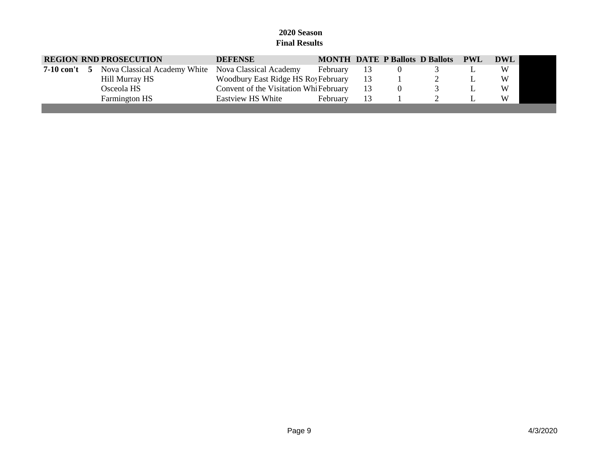|                  | <b>REGION RND PROSECUTION</b> | <b>DEFENSE</b>                         |          |      | <b>MONTH DATE P Ballots D Ballots PWL DWL</b> |   |
|------------------|-------------------------------|----------------------------------------|----------|------|-----------------------------------------------|---|
| $7-10$ con't $5$ | Nova Classical Academy White  | Nova Classical Academy                 | February | - 13 |                                               | W |
|                  | Hill Murray HS                | Woodbury East Ridge HS Roy February    |          | 13   |                                               | W |
|                  | Osceola HS                    | Convent of the Visitation Whi February |          | -13  |                                               | W |
|                  | <b>Farmington HS</b>          | Eastview HS White                      | February | 13   |                                               | W |
|                  |                               |                                        |          |      |                                               |   |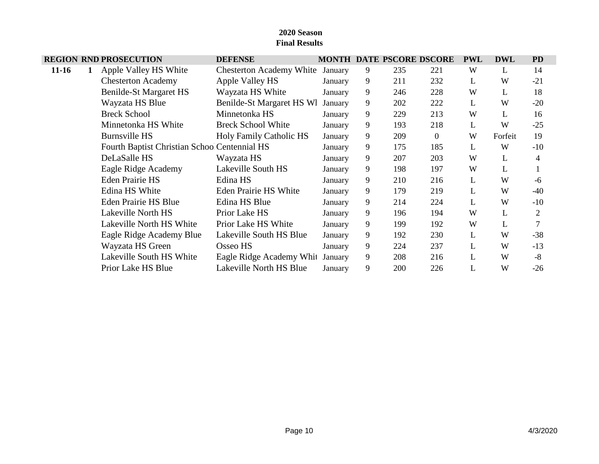|         |   | <b>REGION RND PROSECUTION</b>                | <b>DEFENSE</b>                  |         |   |     | MONTH DATE PSCORE DSCORE | <b>PWL</b> | <b>DWL</b> | <b>PD</b>      |
|---------|---|----------------------------------------------|---------------------------------|---------|---|-----|--------------------------|------------|------------|----------------|
| $11-16$ | 1 | Apple Valley HS White                        | <b>Chesterton Academy White</b> | January | 9 | 235 | 221                      | W          | L          | 14             |
|         |   | <b>Chesterton Academy</b>                    | Apple Valley HS                 | January | 9 | 211 | 232                      | L          | W          | $-21$          |
|         |   | Benilde-St Margaret HS                       | Wayzata HS White                | January | 9 | 246 | 228                      | W          | L          | 18             |
|         |   | Wayzata HS Blue                              | Benilde-St Margaret HS Wl       | January | 9 | 202 | 222                      | L          | W          | $-20$          |
|         |   | <b>Breck School</b>                          | Minnetonka HS                   | January | 9 | 229 | 213                      | W          | L          | 16             |
|         |   | Minnetonka HS White                          | <b>Breck School White</b>       | January | 9 | 193 | 218                      | L          | W          | $-25$          |
|         |   | <b>Burnsville HS</b>                         | <b>Holy Family Catholic HS</b>  | January | 9 | 209 | $\overline{0}$           | W          | Forfeit    | 19             |
|         |   | Fourth Baptist Christian Schoo Centennial HS |                                 | January | 9 | 175 | 185                      | L          | W          | $-10$          |
|         |   | DeLaSalle HS                                 | Wayzata HS                      | January | 9 | 207 | 203                      | W          | L          | 4              |
|         |   | Eagle Ridge Academy                          | Lakeville South HS              | January | 9 | 198 | 197                      | W          | L          |                |
|         |   | <b>Eden Prairie HS</b>                       | Edina HS                        | January | 9 | 210 | 216                      | L          | W          | -6             |
|         |   | Edina HS White                               | <b>Eden Prairie HS White</b>    | January | 9 | 179 | 219                      | L          | W          | $-40$          |
|         |   | <b>Eden Prairie HS Blue</b>                  | Edina HS Blue                   | January | 9 | 214 | 224                      | L          | W          | $-10$          |
|         |   | Lakeville North HS                           | Prior Lake HS                   | January | 9 | 196 | 194                      | W          | L          | $\overline{2}$ |
|         |   | Lakeville North HS White                     | Prior Lake HS White             | January | 9 | 199 | 192                      | W          | L          | $\overline{7}$ |
|         |   | Eagle Ridge Academy Blue                     | Lakeville South HS Blue         | January | 9 | 192 | 230                      | L          | W          | $-38$          |
|         |   | Wayzata HS Green                             | Osseo HS                        | January | 9 | 224 | 237                      | L          | W          | $-13$          |
|         |   | Lakeville South HS White                     | Eagle Ridge Academy Whit        | January | 9 | 208 | 216                      | L          | W          | $-8$           |
|         |   | Prior Lake HS Blue                           | Lakeville North HS Blue         | January | 9 | 200 | 226                      | L          | W          | $-26$          |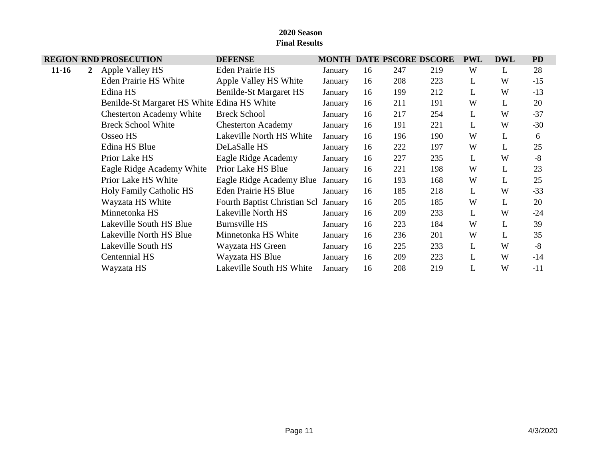|           |                | <b>REGION RND PROSECUTION</b>               | <b>DEFENSE</b>               |         |    |     | <b>MONTH DATE PSCORE DSCORE</b> | <b>PWL</b> | <b>DWL</b> | <b>PD</b> |
|-----------|----------------|---------------------------------------------|------------------------------|---------|----|-----|---------------------------------|------------|------------|-----------|
| $11 - 16$ | $\mathbf{2}^-$ | Apple Valley HS                             | <b>Eden Prairie HS</b>       | January | 16 | 247 | 219                             | W          | L          | 28        |
|           |                | <b>Eden Prairie HS White</b>                | Apple Valley HS White        | January | 16 | 208 | 223                             | L          | W          | $-15$     |
|           |                | Edina HS                                    | Benilde-St Margaret HS       | January | 16 | 199 | 212                             | L          | W          | $-13$     |
|           |                | Benilde-St Margaret HS White Edina HS White |                              | January | 16 | 211 | 191                             | W          | L          | 20        |
|           |                | <b>Chesterton Academy White</b>             | <b>Breck School</b>          | January | 16 | 217 | 254                             | L          | W          | $-37$     |
|           |                | <b>Breck School White</b>                   | <b>Chesterton Academy</b>    | January | 16 | 191 | 221                             | L          | W          | $-30$     |
|           |                | Osseo HS                                    | Lakeville North HS White     | January | 16 | 196 | 190                             | W          | L          | 6         |
|           |                | Edina HS Blue                               | DeLaSalle HS                 | January | 16 | 222 | 197                             | W          | L          | 25        |
|           |                | Prior Lake HS                               | Eagle Ridge Academy          | January | 16 | 227 | 235                             | L          | W          | $-8$      |
|           |                | Eagle Ridge Academy White                   | Prior Lake HS Blue           | January | 16 | 221 | 198                             | W          | L          | 23        |
|           |                | Prior Lake HS White                         | Eagle Ridge Academy Blue     | January | 16 | 193 | 168                             | W          | L          | 25        |
|           |                | <b>Holy Family Catholic HS</b>              | <b>Eden Prairie HS Blue</b>  | January | 16 | 185 | 218                             | L          | W          | $-33$     |
|           |                | Wayzata HS White                            | Fourth Baptist Christian Scl | January | 16 | 205 | 185                             | W          | L          | 20        |
|           |                | Minnetonka HS                               | Lakeville North HS           | January | 16 | 209 | 233                             | L          | W          | $-24$     |
|           |                | Lakeville South HS Blue                     | <b>Burnsville HS</b>         | January | 16 | 223 | 184                             | W          | L          | 39        |
|           |                | Lakeville North HS Blue                     | Minnetonka HS White          | January | 16 | 236 | 201                             | W          | L          | 35        |
|           |                | Lakeville South HS                          | Wayzata HS Green             | January | 16 | 225 | 233                             | L          | W          | $-8$      |
|           |                | Centennial HS                               | Wayzata HS Blue              | January | 16 | 209 | 223                             | L          | W          | $-14$     |
|           |                | Wayzata HS                                  | Lakeville South HS White     | January | 16 | 208 | 219                             | L          | W          | $-11$     |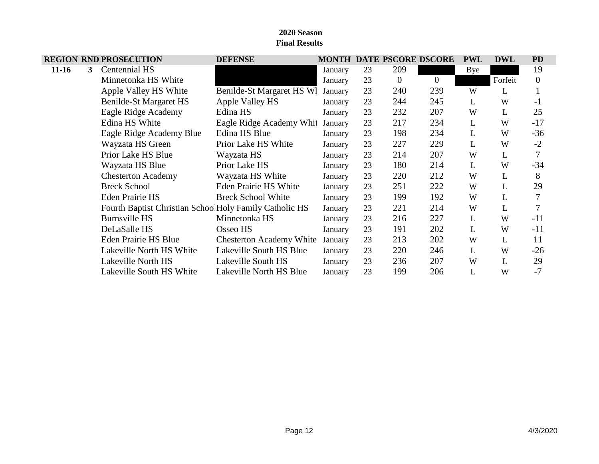|           |   | <b>REGION RND PROSECUTION</b>                          | <b>DEFENSE</b>                  |         |    |          | <b>MONTH DATE PSCORE DSCORE</b> | <b>PWL</b> | <b>DWL</b> | <b>PD</b>    |
|-----------|---|--------------------------------------------------------|---------------------------------|---------|----|----------|---------------------------------|------------|------------|--------------|
| $11 - 16$ | 3 | Centennial HS                                          |                                 | January | 23 | 209      |                                 | Bye        |            | 19           |
|           |   | Minnetonka HS White                                    |                                 | January | 23 | $\theta$ | $\overline{0}$                  |            | Forfeit    | $\theta$     |
|           |   | Apple Valley HS White                                  | Benilde-St Margaret HS Wl       | January | 23 | 240      | 239                             | W          | L          | $\mathbf{1}$ |
|           |   | Benilde-St Margaret HS                                 | Apple Valley HS                 | January | 23 | 244      | 245                             | L          | W          | $-1$         |
|           |   | Eagle Ridge Academy                                    | Edina HS                        | January | 23 | 232      | 207                             | W          | L          | 25           |
|           |   | Edina HS White                                         | Eagle Ridge Academy Whit        | January | 23 | 217      | 234                             | L          | W          | $-17$        |
|           |   | Eagle Ridge Academy Blue                               | Edina HS Blue                   | January | 23 | 198      | 234                             | L          | W          | $-36$        |
|           |   | Wayzata HS Green                                       | Prior Lake HS White             | January | 23 | 227      | 229                             | L          | W          | $-2$         |
|           |   | Prior Lake HS Blue                                     | Wayzata HS                      | January | 23 | 214      | 207                             | W          | L          |              |
|           |   | Wayzata HS Blue                                        | Prior Lake HS                   | January | 23 | 180      | 214                             | L          | W          | $-34$        |
|           |   | <b>Chesterton Academy</b>                              | Wayzata HS White                | January | 23 | 220      | 212                             | W          | L          | 8            |
|           |   | <b>Breck School</b>                                    | <b>Eden Prairie HS White</b>    | January | 23 | 251      | 222                             | W          | L          | 29           |
|           |   | <b>Eden Prairie HS</b>                                 | <b>Breck School White</b>       | January | 23 | 199      | 192                             | W          | L          |              |
|           |   | Fourth Baptist Christian Schoo Holy Family Catholic HS |                                 | January | 23 | 221      | 214                             | W          | L          |              |
|           |   | <b>Burnsville HS</b>                                   | Minnetonka HS                   | January | 23 | 216      | 227                             | L          | W          | $-11$        |
|           |   | DeLaSalle HS                                           | Osseo HS                        | January | 23 | 191      | 202                             | L          | W          | $-11$        |
|           |   | <b>Eden Prairie HS Blue</b>                            | <b>Chesterton Academy White</b> | January | 23 | 213      | 202                             | W          | L          | 11           |
|           |   | Lakeville North HS White                               | Lakeville South HS Blue         | January | 23 | 220      | 246                             | L          | W          | $-26$        |
|           |   | Lakeville North HS                                     | Lakeville South HS              | January | 23 | 236      | 207                             | W          | L          | 29           |
|           |   | Lakeville South HS White                               | Lakeville North HS Blue         | January | 23 | 199      | 206                             | L          | W          | $-7$         |